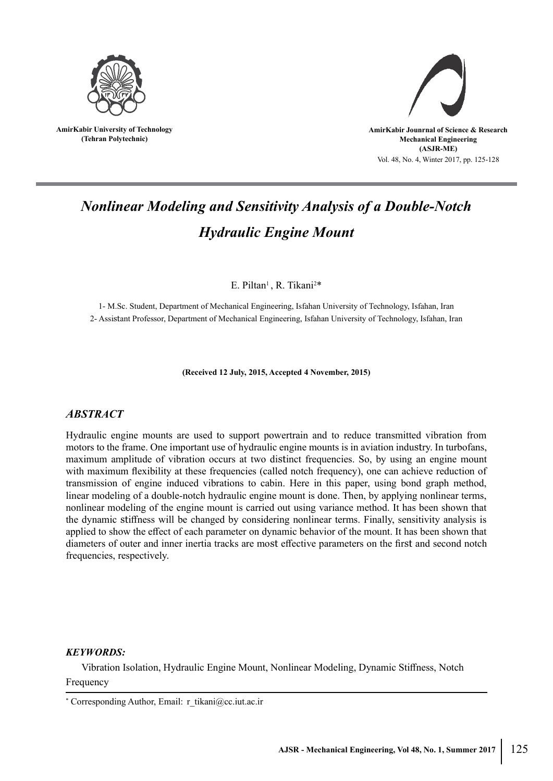

**AmirKabir University of Technology (Tehran Polytechnic)**



# *Nonlinear Modeling and Sensitivity Analysis of a Double-Notch Hydraulic Engine Mount*

E. Piltan<sup>1</sup>, R. Tikani<sup>2\*</sup>

1- M.Sc. Student, Department of Mechanical Engineering, Isfahan University of Technology, Isfahan, Iran 2- Assistant Professor, Department of Mechanical Engineering, Isfahan University of Technology, Isfahan, Iran

**(Received 12 July, 2015, Accepted 4 November, 2015)**

# *ABSTRACT*

Hydraulic engine mounts are used to support powertrain and to reduce transmitted vibration from motors to the frame. One important use of hydraulic engine mounts is in aviation industry. In turbofans, maximum amplitude of vibration occurs at two distinct frequencies. So, by using an engine mount with maximum flexibility at these frequencies (called notch frequency), one can achieve reduction of transmission of engine induced vibrations to cabin. Here in this paper, using bond graph method, linear modeling of a double-notch hydraulic engine mount is done. Then, by applying nonlinear terms, nonlinear modeling of the engine mount is carried out using variance method. It has been shown that the dynamic stiffness will be changed by considering nonlinear terms. Finally, sensitivity analysis is applied to show the effect of each parameter on dynamic behavior of the mount. It has been shown that diameters of outer and inner inertia tracks are most effective parameters on the first and second notch frequencies, respectively.

## *KEYWORDS:*

Vibration Isolation, Hydraulic Engine Mount, Nonlinear Modeling, Dynamic Stiffness, Notch Frequency

<sup>\*</sup> Corresponding Author, Email: r\_tikani@cc.iut.ac.ir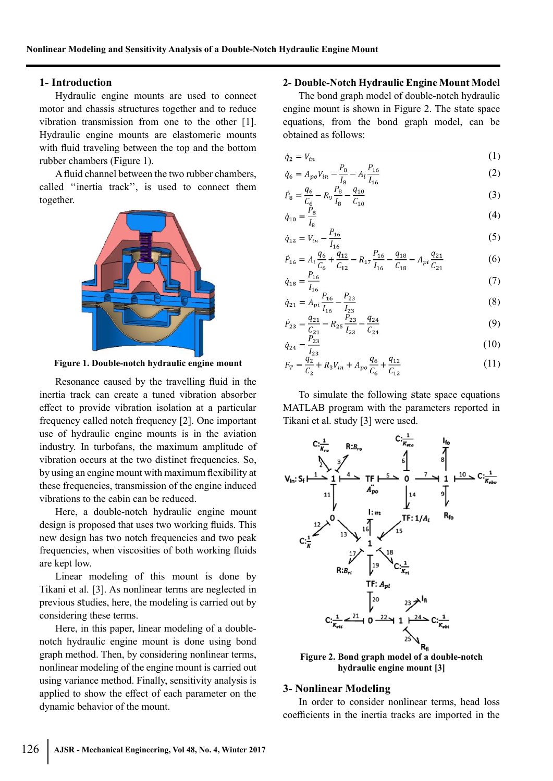#### **1- Introduction**

Hydraulic engine mounts are used to connect motor and chassis structures together and to reduce vibration transmission from one to the other [1]. Hydraulic engine mounts are elastomeric mounts with fluid traveling between the top and the bottom rubber chambers (Figure 1).

A fluid channel between the two rubber chambers, called ''inertia track'', is used to connect them together.



**Figure 1. Double-notch hydraulic engine mount**

Resonance caused by the travelling fluid in the inertia track can create a tuned vibration absorber effect to provide vibration isolation at a particular frequency called notch frequency [2]. One important use of hydraulic engine mounts is in the aviation industry. In turbofans, the maximum amplitude of vibration occurs at the two distinct frequencies. So, by using an engine mount with maximum flexibility at these frequencies, transmission of the engine induced vibrations to the cabin can be reduced.

Here, a double-notch hydraulic engine mount design is proposed that uses two working fluids. This new design has two notch frequencies and two peak frequencies, when viscosities of both working fluids are kept low.

Linear modeling of this mount is done by Tikani et al. [3]. As nonlinear terms are neglected in previous studies, here, the modeling is carried out by considering these terms.

Here, in this paper, linear modeling of a doublenotch hydraulic engine mount is done using bond graph method. Then, by considering nonlinear terms, nonlinear modeling of the engine mount is carried out using variance method. Finally, sensitivity analysis is applied to show the effect of each parameter on the dynamic behavior of the mount.

#### **2- Double-Notch Hydraulic Engine Mount Model**

The bond graph model of double-notch hydraulic engine mount is shown in Figure 2. The state space equations, from the bond graph model, can be obtained as follows:

$$
\dot{q}_2 = V_{in} \tag{1}
$$

$$
\dot{q}_6 = A_{po} V_{in} - \frac{P_8}{I_8} - A_i \frac{P_{16}}{I_{16}}
$$
 (2)

$$
\dot{P}_8 = \frac{q_6}{C_6} - R_9 \frac{P_8}{I_8} - \frac{q_{10}}{C_{10}}\tag{3}
$$

$$
\dot{q}_{10} = \frac{R}{I_8} \tag{4}
$$

$$
\dot{q}_{12} = V_{in} - \frac{P_{16}}{I_{16}}\tag{5}
$$

$$
\dot{P}_{16} = A_i \frac{q_6}{C_6} + \frac{q_{12}}{C_{12}} - R_{17} \frac{P_{16}}{I_{16}} - \frac{q_{18}}{C_{18}} - A_{pi} \frac{q_{21}}{C_{21}} \tag{6}
$$

$$
\dot{q}_{18} = \frac{I_{16}}{I_{16}} \tag{7}
$$

$$
\dot{q}_{21} = A_{pi} \frac{I_{16}}{I_{16}} - \frac{I_{23}}{I_{23}}\n\tag{8}
$$

$$
\dot{P}_{23} = \frac{q_{21}}{C_{21}} - R_{25} \frac{r_{23}}{I_{23}} - \frac{q_{24}}{C_{24}}
$$
\n
$$
(9)
$$

$$
\dot{q}_{24} = \frac{123}{l_{23}} \tag{10}
$$

$$
F_T = \frac{q_2}{C_2} + R_3 V_{in} + A_{po} \frac{q_6}{C_6} + \frac{q_{12}}{C_{12}}
$$
(11)

To simulate the following state space equations MATLAB program with the parameters reported in Tikani et al. study [3] were used.



**Figure 2. Bond graph model of a double-notch hydraulic engine mount [3]**

## **3- Nonlinear Modeling**

In order to consider nonlinear terms, head loss coefficients in the inertia tracks are imported in the